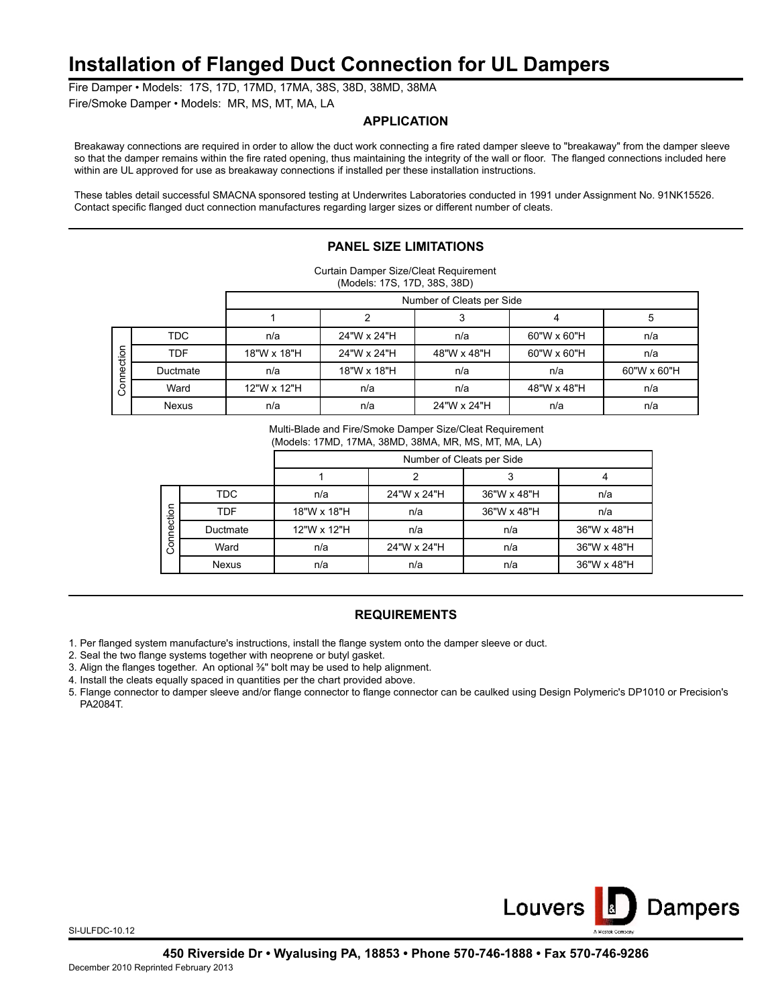## **Installation of Flanged Duct Connection for UL Dampers**

Fire Damper • Models: 17S, 17D, 17MD, 17MA, 38S, 38D, 38MD, 38MA

Fire/Smoke Damper • Models: MR, MS, MT, MA, LA

#### **APPLICATION**

Breakaway connections are required in order to allow the duct work connecting a fire rated damper sleeve to "breakaway" from the damper sleeve so that the damper remains within the fire rated opening, thus maintaining the integrity of the wall or floor. The flanged connections included here within are UL approved for use as breakaway connections if installed per these installation instructions.

These tables detail successful SMACNA sponsored testing at Underwrites Laboratories conducted in 1991 under Assignment No. 91NK15526. Contact specific flanged duct connection manufactures regarding larger sizes or different number of cleats.

## **PANEL SIZE LIMITATIONS**

| Curtain Damper Size/Cleat Requirement |  |
|---------------------------------------|--|
| (Models: 17S, 17D, 38S, 38D)          |  |

|                    |              | Number of Cleats per Side |             |             |             |             |  |
|--------------------|--------------|---------------------------|-------------|-------------|-------------|-------------|--|
|                    |              |                           |             |             |             | э           |  |
| nection<br>$\circ$ | <b>TDC</b>   | n/a                       | 24"W x 24"H | n/a         | 60"W x 60"H | n/a         |  |
|                    | TDF          | 18"W x 18"H               | 24"W x 24"H | 48"W x 48"H | 60"W x 60"H | n/a         |  |
|                    | Ductmate     | n/a                       | 18"W x 18"H | n/a         | n/a         | 60"W x 60"H |  |
|                    | Ward         | 12"W x 12"H               | n/a         | n/a         | 48"W x 48"H | n/a         |  |
|                    | <b>Nexus</b> | n/a                       | n/a         | 24"W x 24"H | n/a         | n/a         |  |

Multi-Blade and Fire/Smoke Damper Size/Cleat Requirement

(Models: 17MD, 17MA, 38MD, 38MA, MR, MS, MT, MA, LA)

|            |              | Number of Cleats per Side |             |             |             |  |  |
|------------|--------------|---------------------------|-------------|-------------|-------------|--|--|
|            |              |                           |             |             |             |  |  |
| Connection | TDC.         | n/a                       | 24"W x 24"H | 36"W x 48"H | n/a         |  |  |
|            | <b>TDF</b>   | 18"W x 18"H               | n/a         | 36"W x 48"H | n/a         |  |  |
|            | Ductmate     | 12"W x 12"H               | n/a         | n/a         | 36"W x 48"H |  |  |
|            | Ward         | n/a                       | 24"W x 24"H | n/a         | 36"W x 48"H |  |  |
|            | <b>Nexus</b> | n/a                       | n/a         | n/a         | 36"W x 48"H |  |  |

### **REQUIREMENTS**

1. Per flanged system manufacture's instructions, install the flange system onto the damper sleeve or duct.

2. Seal the two flange systems together with neoprene or butyl gasket.

3. Align the flanges together. An optional <sup>3</sup>/<sub>8</sub>" bolt may be used to help alignment.

4. Install the cleats equally spaced in quantities per the chart provided above.

5. Flange connector to damper sleeve and/or flange connector to flange connector can be caulked using Design Polymeric's DP1010 or Precision's PA2084T.



SI-ULFDC-10.12